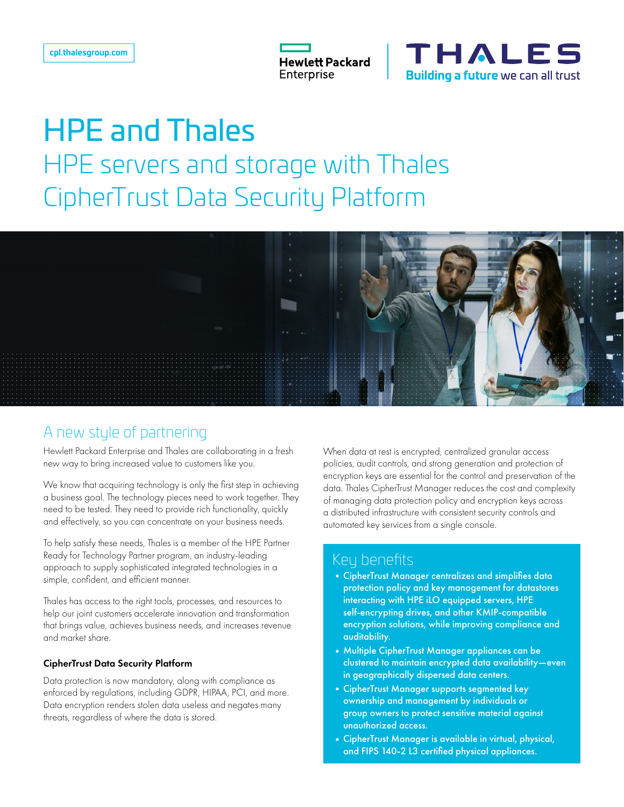



# HPE and Thales HPE servers and storage with Thales CipherTrust Data Security Platform



### A new style of partnering

Hewlett Packard Enterprise and Thales are collaborating in a fresh new way to bring increased value to customers like you.

We know that acquiring technology is only the first step in achieving a business goal. The technology pieces need to work together. They need to be tested. They need to provide rich functionality, quickly and effectively, so you can concentrate on your business needs.

To help satisfy these needs, Thales is a member of the HPE Partner Ready for Technology Partner program, an industry-leading approach to supply sophisticated integrated technologies in a simple, confident, and efficient manner.

Thales has access to the right tools, processes, and resources to help our joint customers accelerate innovation and transformation that brings value, achieves business needs, and increases revenue and market share.

#### CipherTrust Data Security Platform

Data protection is now mandatory, along with compliance as enforced by regulations, including GDPR, HIPAA, PCI, and more. Data encryption renders stolen data useless and negates many threats, regardless of where the data is stored.

When data at rest is encrypted, centralized granular access policies, audit controls, and strong generation and protection of encryption keys are essential for the control and preservation of the data. Thales CipherTrust Manager reduces the cost and complexity of managing data protection policy and encryption keys across a distributed infrastructure with consistent security controls and automated key services from a single console.

#### Key benefits

•

- •CipherTrust Manager centralizes and simplifies data protection policy and key management for datastores interacting with HPE iLO equipped servers, HPE self-encrypting drives, and other KMIP-compatible encryption solutions, while improving compliance and auditability.
- •Multiple CipherTrust Manager appliances can be clustered to maintain encrypted data availability—even in geographically dispersed data centers.
- •CipherTrust Manager supports segmented key ownership and management by individuals or group owners to protect sensitive material against unauthorized access.
- •CipherTrust Manager is available in virtual, physical, and FIPS 140-2 L3 certified physical appliances.